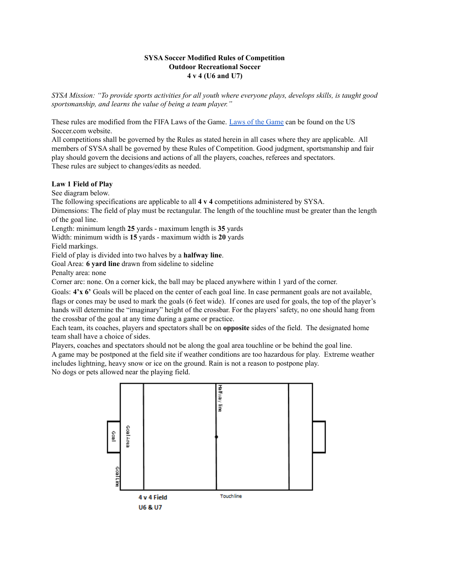# **SYSA Soccer Modified Rules of Competition Outdoor Recreational Soccer 4 v 4 (U6 and U7)**

SYSA Mission: "To provide sports activities for all youth where everyone plays, develops skills, is taught good *sportsmanship, and learns the value of being a team player."*

These rules are modified from the FIFA Laws of the Game. Laws of the [Game](https://ussoccer.app.box.com/s/xx3byxqgodqtl1h15865) can be found on the US Soccer.com website.

All competitions shall be governed by the Rules as stated herein in all cases where they are applicable. All members of SYSA shall be governed by these Rules of Competition. Good judgment, sportsmanship and fair play should govern the decisions and actions of all the players, coaches, referees and spectators. These rules are subject to changes/edits as needed.

# **Law 1 Field of Play**

See diagram below.

The following specifications are applicable to all **4 v 4** competitions administered by SYSA.

Dimensions: The field of play must be rectangular. The length of the touchline must be greater than the length of the goal line.

Length: minimum length **25** yards - maximum length is **35** yards

Width: minimum width is **15** yards - maximum width is **20** yards

Field markings.

Field of play is divided into two halves by a **halfway line**.

Goal Area: **6 yard line** drawn from sideline to sideline

Penalty area: none

Corner arc: none. On a corner kick, the ball may be placed anywhere within 1 yard of the corner.

Goals: **4'x 6'** Goals will be placed on the center of each goal line. In case permanent goals are not available, flags or cones may be used to mark the goals (6 feet wide). If cones are used for goals, the top of the player's hands will determine the "imaginary" height of the crossbar. For the players'safety, no one should hang from the crossbar of the goal at any time during a game or practice.

Each team, its coaches, players and spectators shall be on **opposite** sides of the field. The designated home team shall have a choice of sides.

Players, coaches and spectators should not be along the goal area touchline or be behind the goal line.

A game may be postponed at the field site if weather conditions are too hazardous for play. Extreme weather includes lightning, heavy snow or ice on the ground. Rain is not a reason to postpone play.

No dogs or pets allowed near the playing field.

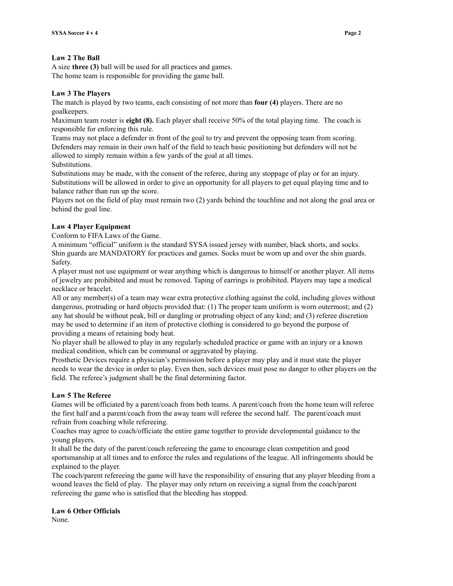#### **Law 2 The Ball**

A size **three (3)** ball will be used for all practices and games. The home team is responsible for providing the game ball.

### **Law 3 The Players**

The match is played by two teams, each consisting of not more than **four (4)** players. There are no goalkeepers.

Maximum team roster is **eight (8).** Each player shall receive 50% of the total playing time. The coach is responsible for enforcing this rule.

Teams may not place a defender in front of the goal to try and prevent the opposing team from scoring. Defenders may remain in their own half of the field to teach basic positioning but defenders will not be allowed to simply remain within a few yards of the goal at all times.

Substitutions.

Substitutions may be made, with the consent of the referee, during any stoppage of play or for an injury. Substitutions will be allowed in order to give an opportunity for all players to get equal playing time and to balance rather than run up the score.

Players not on the field of play must remain two (2) yards behind the touchline and not along the goal area or behind the goal line.

### **Law 4 Player Equipment**

Conform to FIFA Laws of the Game.

A minimum "official" uniform is the standard SYSA issued jersey with number, black shorts, and socks. Shin guards are MANDATORY for practices and games. Socks must be worn up and over the shin guards. Safety.

A player must not use equipment or wear anything which is dangerous to himself or another player. All items of jewelry are prohibited and must be removed. Taping of earrings is prohibited. Players may tape a medical necklace or bracelet.

All or any member(s) of a team may wear extra protective clothing against the cold, including gloves without dangerous, protruding or hard objects provided that: (1) The proper team uniform is worn outermost; and (2) any hat should be without peak, bill or dangling or protruding object of any kind; and (3) referee discretion may be used to determine if an item of protective clothing is considered to go beyond the purpose of providing a means of retaining body heat.

No player shall be allowed to play in any regularly scheduled practice or game with an injury or a known medical condition, which can be communal or aggravated by playing.

Prosthetic Devices require a physician's permission before a player may play and it must state the player needs to wear the device in order to play. Even then, such devices must pose no danger to other players on the field. The referee's judgment shall be the final determining factor.

### **Law 5 The Referee**

Games will be officiated by a parent/coach from both teams. A parent/coach from the home team will referee the first half and a parent/coach from the away team will referee the second half. The parent/coach must refrain from coaching while refereeing.

Coaches may agree to coach/officiate the entire game together to provide developmental guidance to the young players.

It shall be the duty of the parent/coach refereeing the game to encourage clean competition and good sportsmanship at all times and to enforce the rules and regulations of the league. All infringements should be explained to the player.

The coach/parent refereeing the game will have the responsibility of ensuring that any player bleeding from a wound leaves the field of play. The player may only return on receiving a signal from the coach/parent refereeing the game who is satisfied that the bleeding has stopped.

#### **Law 6 Other Officials**

None.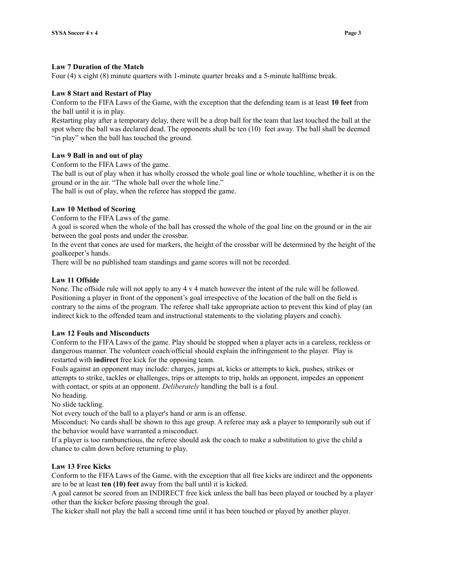#### **Law 7 Duration of the Match**

Four (4) x eight (8) minute quarters with 1-minute quarter breaks and a 5-minute halftime break.

### **Law 8 Start and Restart of Play**

Conform to the FIFA Laws of the Game, with the exception that the defending team is at least **10 feet** from the ball until it is in play.

Restarting play after a temporary delay, there will be a drop ball for the team that last touched the ball at the spot where the ball was declared dead. The opponents shall be ten (10) feet away. The ball shall be deemed "in play" when the ball has touched the ground.

#### **Law 9 Ball in and out of play**

Conform to the FIFA Laws of the game.

The ball is out of play when it has wholly crossed the whole goal line or whole touchline, whether it is on the ground or in the air. "The whole ball over the whole line."

The ball is out of play, when the referee has stopped the game.

### **Law 10 Method of Scoring**

Conform to the FIFA Laws of the game.

A goal is scored when the whole of the ball has crossed the whole of the goal line on the ground or in the air between the goal posts and under the crossbar.

In the event that cones are used for markers, the height of the crossbar will be determined by the height of the goalkeeper's hands.

There will be no published team standings and game scores will not be recorded.

#### **Law 11 Offside**

None. The offside rule will not apply to any 4 v 4 match however the intent of the rule will be followed. Positioning a player in front of the opponent's goal irrespective of the location of the ball on the field is contrary to the aims of the program. The referee shall take appropriate action to prevent this kind of play (an indirect kick to the offended team and instructional statements to the violating players and coach).

#### **Law 12 Fouls and Misconducts**

Conform to the FIFA Laws of the game. Play should be stopped when a player acts in a careless, reckless or dangerous manner. The volunteer coach/official should explain the infringement to the player. Play is restarted with **indirect** free kick for the opposing team.

Fouls against an opponent may include: charges, jumps at, kicks or attempts to kick, pushes, strikes or attempts to strike, tackles or challenges, trips or attempts to trip, holds an opponent, impedes an opponent with contact, or spits at an opponent. *Deliberately* handling the ball is a foul.

No heading.

No slide tackling.

Not every touch of the ball to a player's hand or arm is an offense.

Misconduct: No cards shall be shown to this age group. A referee may ask a player to temporarily sub out if the behavior would have warranted a misconduct.

If a player is too rambunctious, the referee should ask the coach to make a substitution to give the child a chance to calm down before returning to play.

#### **Law 13 Free Kicks**

Conform to the FIFA Laws of the Game, with the exception that all free kicks are indirect and the opponents are to be at least **ten (10) feet** away from the ball until it is kicked.

A goal cannot be scored from an INDIRECT free kick unless the ball has been played or touched by a player other than the kicker before passing through the goal.

The kicker shall not play the ball a second time until it has been touched or played by another player.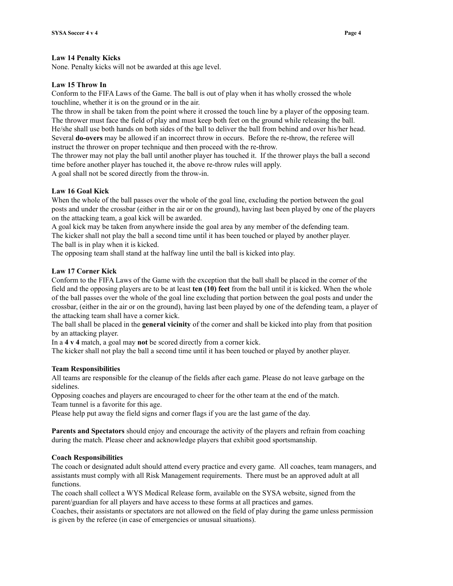### **Law 14 Penalty Kicks**

None. Penalty kicks will not be awarded at this age level.

### **Law 15 Throw In**

Conform to the FIFA Laws of the Game. The ball is out of play when it has wholly crossed the whole touchline, whether it is on the ground or in the air.

The throw in shall be taken from the point where it crossed the touch line by a player of the opposing team. The thrower must face the field of play and must keep both feet on the ground while releasing the ball. He/she shall use both hands on both sides of the ball to deliver the ball from behind and over his/her head. Several **do-overs** may be allowed if an incorrect throw in occurs. Before the re-throw, the referee will instruct the thrower on proper technique and then proceed with the re-throw.

The thrower may not play the ball until another player has touched it. If the thrower plays the ball a second time before another player has touched it, the above re-throw rules will apply.

A goal shall not be scored directly from the throw-in.

# **Law 16 Goal Kick**

When the whole of the ball passes over the whole of the goal line, excluding the portion between the goal posts and under the crossbar (either in the air or on the ground), having last been played by one of the players on the attacking team, a goal kick will be awarded.

A goal kick may be taken from anywhere inside the goal area by any member of the defending team. The kicker shall not play the ball a second time until it has been touched or played by another player. The ball is in play when it is kicked.

The opposing team shall stand at the halfway line until the ball is kicked into play.

### **Law 17 Corner Kick**

Conform to the FIFA Laws of the Game with the exception that the ball shall be placed in the corner of the field and the opposing players are to be at least **ten (10) feet** from the ball until it is kicked. When the whole of the ball passes over the whole of the goal line excluding that portion between the goal posts and under the crossbar, (either in the air or on the ground), having last been played by one of the defending team, a player of the attacking team shall have a corner kick.

The ball shall be placed in the **general vicinity** of the corner and shall be kicked into play from that position by an attacking player.

In a **4 v 4** match, a goal may **not** be scored directly from a corner kick.

The kicker shall not play the ball a second time until it has been touched or played by another player.

#### **Team Responsibilities**

All teams are responsible for the cleanup of the fields after each game. Please do not leave garbage on the sidelines.

Opposing coaches and players are encouraged to cheer for the other team at the end of the match.

Team tunnel is a favorite for this age.

Please help put away the field signs and corner flags if you are the last game of the day.

**Parents and Spectators** should enjoy and encourage the activity of the players and refrain from coaching during the match. Please cheer and acknowledge players that exhibit good sportsmanship.

# **Coach Responsibilities**

The coach or designated adult should attend every practice and every game. All coaches, team managers, and assistants must comply with all Risk Management requirements. There must be an approved adult at all functions.

The coach shall collect a WYS Medical Release form, available on the SYSA website, signed from the parent/guardian for all players and have access to these forms at all practices and games.

Coaches, their assistants or spectators are not allowed on the field of play during the game unless permission is given by the referee (in case of emergencies or unusual situations).